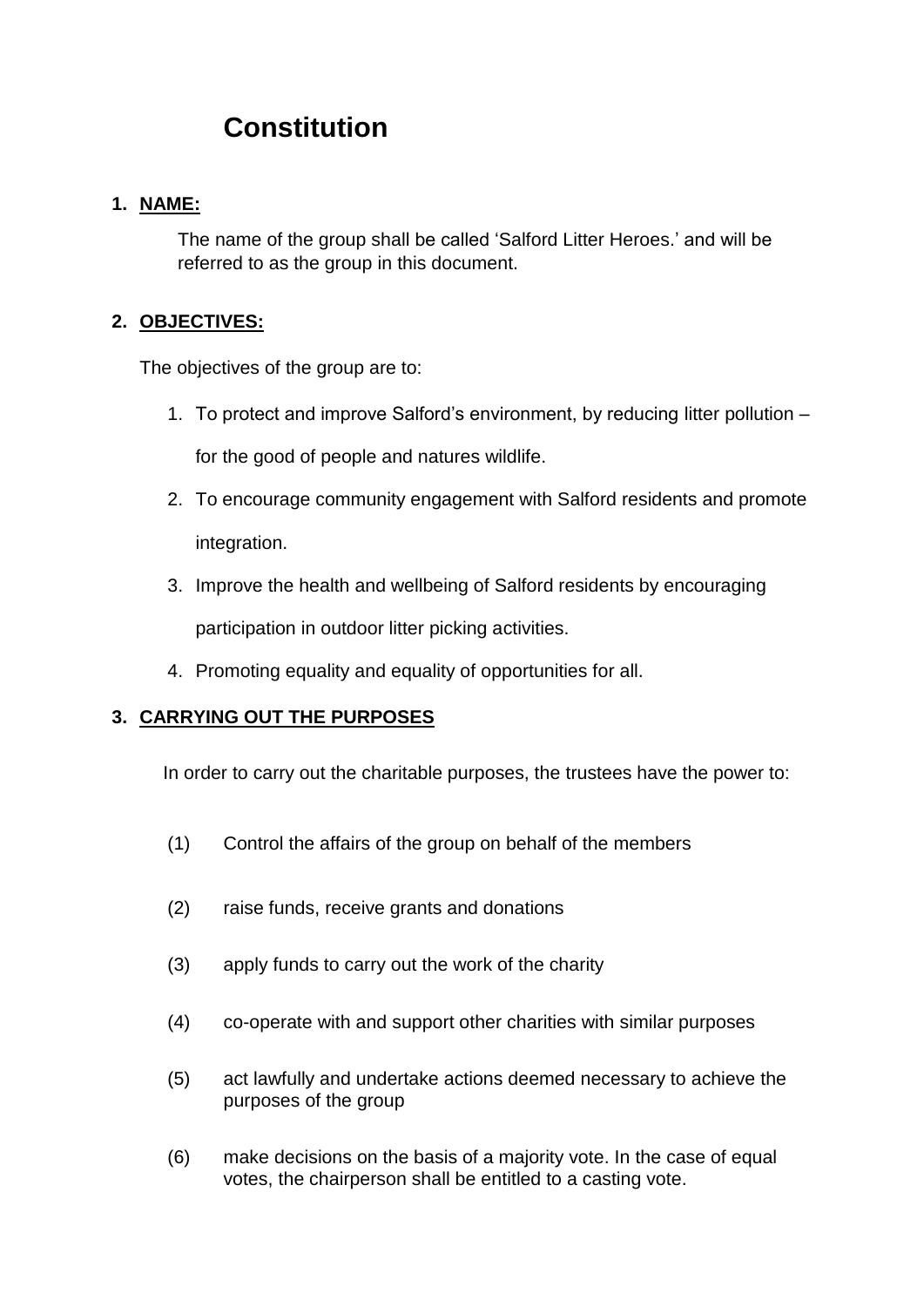# **Constitution**

## **1. NAME:**

The name of the group shall be called 'Salford Litter Heroes.' and will be referred to as the group in this document.

# **2. OBJECTIVES:**

The objectives of the group are to:

- 1. To protect and improve Salford's environment, by reducing litter pollution for the good of people and natures wildlife.
- 2. To encourage community engagement with Salford residents and promote integration.
- 3. Improve the health and wellbeing of Salford residents by encouraging participation in outdoor litter picking activities.
- 4. Promoting equality and equality of opportunities for all.

# **3. CARRYING OUT THE PURPOSES**

In order to carry out the charitable purposes, the trustees have the power to:

- (1) Control the affairs of the group on behalf of the members
- (2) raise funds, receive grants and donations
- (3) apply funds to carry out the work of the charity
- (4) co-operate with and support other charities with similar purposes
- (5) act lawfully and undertake actions deemed necessary to achieve the purposes of the group
- (6) make decisions on the basis of a majority vote. In the case of equal votes, the chairperson shall be entitled to a casting vote.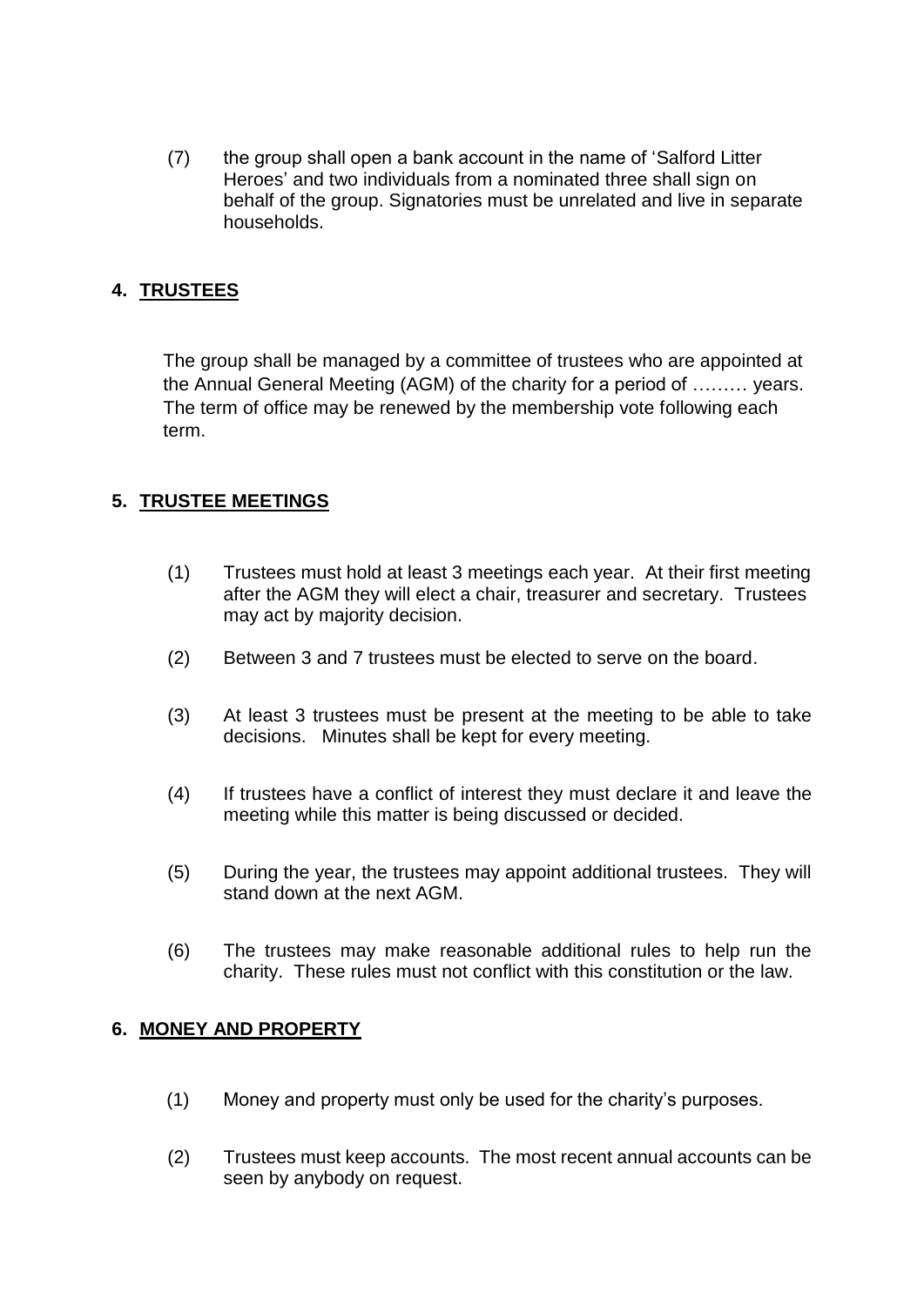(7) the group shall open a bank account in the name of 'Salford Litter Heroes' and two individuals from a nominated three shall sign on behalf of the group. Signatories must be unrelated and live in separate households.

## **4. TRUSTEES**

The group shall be managed by a committee of trustees who are appointed at the Annual General Meeting (AGM) of the charity for a period of ……… years. The term of office may be renewed by the membership vote following each term.

## **5. TRUSTEE MEETINGS**

- (1) Trustees must hold at least 3 meetings each year. At their first meeting after the AGM they will elect a chair, treasurer and secretary. Trustees may act by majority decision.
- (2) Between 3 and 7 trustees must be elected to serve on the board.
- (3) At least 3 trustees must be present at the meeting to be able to take decisions. Minutes shall be kept for every meeting.
- (4) If trustees have a conflict of interest they must declare it and leave the meeting while this matter is being discussed or decided.
- (5) During the year, the trustees may appoint additional trustees. They will stand down at the next AGM.
- (6) The trustees may make reasonable additional rules to help run the charity. These rules must not conflict with this constitution or the law.

## **6. MONEY AND PROPERTY**

- (1) Money and property must only be used for the charity's purposes.
- (2) Trustees must keep accounts. The most recent annual accounts can be seen by anybody on request.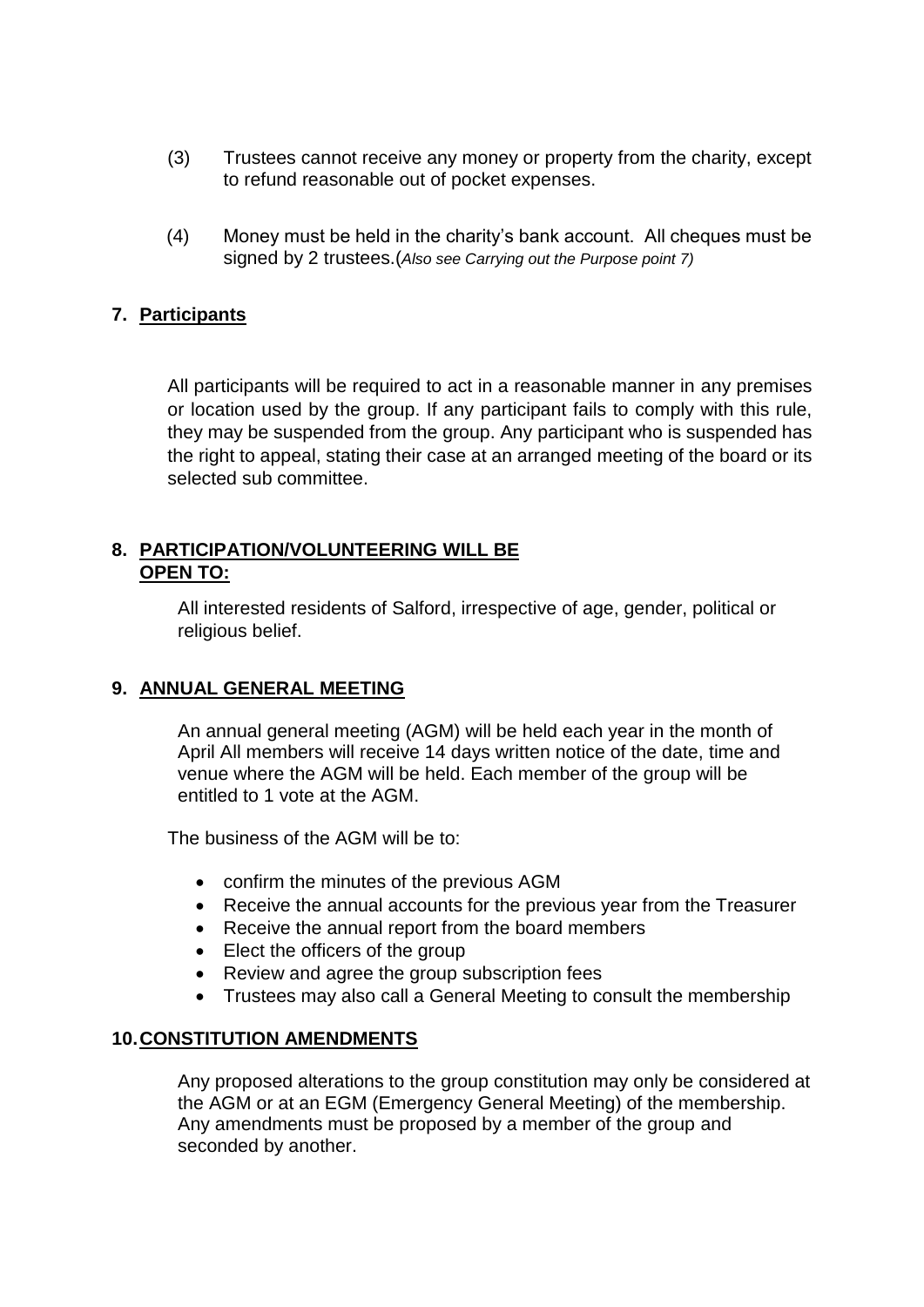- (3) Trustees cannot receive any money or property from the charity, except to refund reasonable out of pocket expenses.
- (4) Money must be held in the charity's bank account. All cheques must be signed by 2 trustees.(*Also see Carrying out the Purpose point 7)*

#### **7. Participants**

All participants will be required to act in a reasonable manner in any premises or location used by the group. If any participant fails to comply with this rule, they may be suspended from the group. Any participant who is suspended has the right to appeal, stating their case at an arranged meeting of the board or its selected sub committee.

#### **8. PARTICIPATION/VOLUNTEERING WILL BE OPEN TO:**

All interested residents of Salford, irrespective of age, gender, political or religious belief.

#### **9. ANNUAL GENERAL MEETING**

An annual general meeting (AGM) will be held each year in the month of April All members will receive 14 days written notice of the date, time and venue where the AGM will be held. Each member of the group will be entitled to 1 vote at the AGM.

The business of the AGM will be to:

- confirm the minutes of the previous AGM
- Receive the annual accounts for the previous year from the Treasurer
- Receive the annual report from the board members
- Elect the officers of the group
- Review and agree the group subscription fees
- Trustees may also call a General Meeting to consult the membership

#### **10.CONSTITUTION AMENDMENTS**

Any proposed alterations to the group constitution may only be considered at the AGM or at an EGM (Emergency General Meeting) of the membership. Any amendments must be proposed by a member of the group and seconded by another.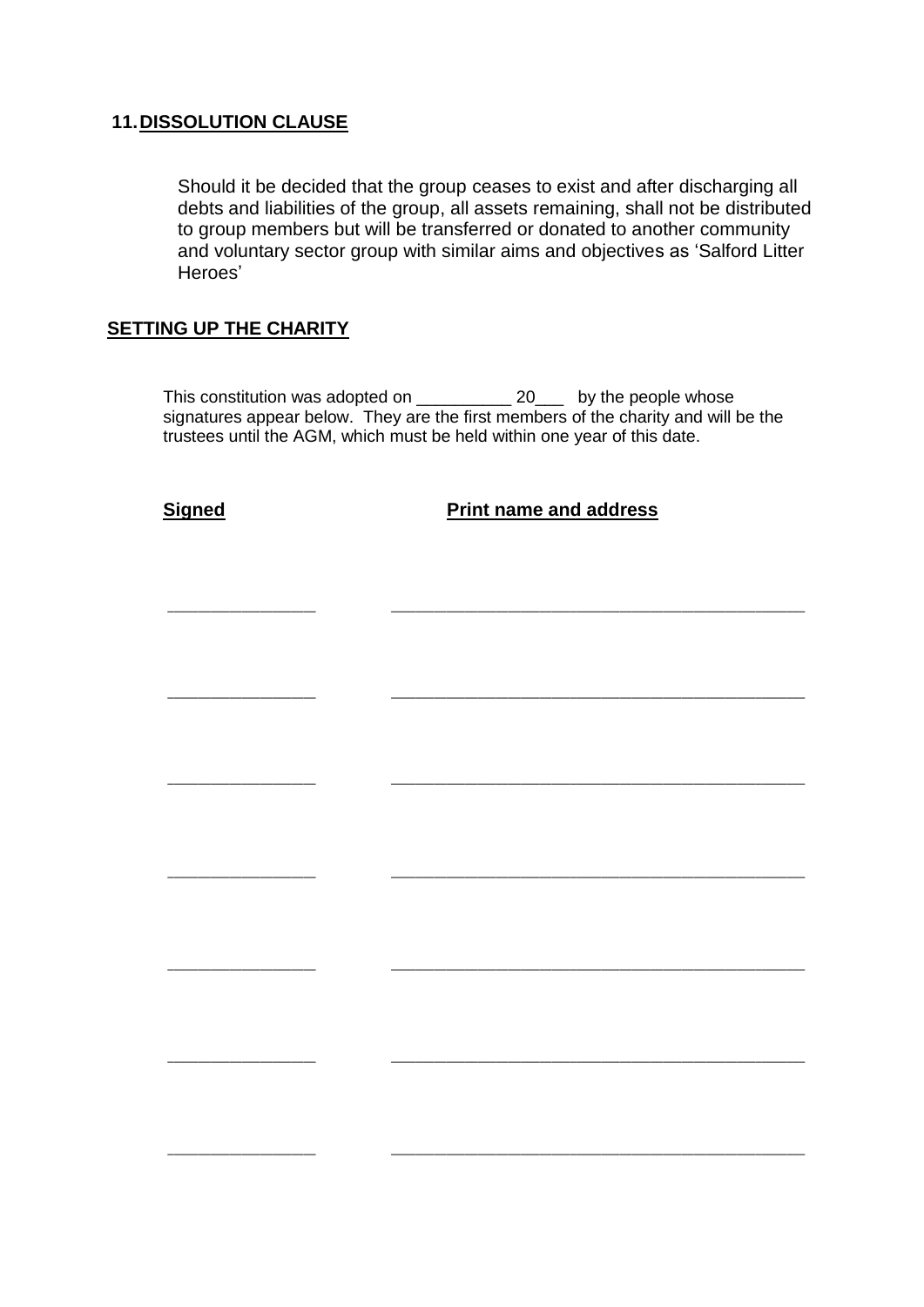#### **11.DISSOLUTION CLAUSE**

Should it be decided that the group ceases to exist and after discharging all debts and liabilities of the group, all assets remaining, shall not be distributed to group members but will be transferred or donated to another community and voluntary sector group with similar aims and objectives as 'Salford Litter Heroes'

#### **SETTING UP THE CHARITY**

This constitution was adopted on \_\_\_\_\_\_\_\_\_\_\_\_\_ 20\_\_\_\_ by the people whose signatures appear below. They are the first members of the charity and will be the trustees until the AGM, which must be held within one year of this date.

\_\_\_\_\_\_\_\_\_\_\_\_\_\_\_\_\_\_\_\_\_\_\_\_ \_\_\_\_\_\_\_\_\_\_\_\_\_\_\_\_\_\_\_\_\_\_\_\_\_\_\_\_\_\_\_\_\_\_\_\_\_\_\_\_\_\_\_\_\_\_\_\_\_\_\_\_\_\_\_\_\_\_\_\_\_\_\_\_\_\_\_

\_\_\_\_\_\_\_\_\_\_\_\_\_\_\_\_\_\_\_\_\_\_\_\_ \_\_\_\_\_\_\_\_\_\_\_\_\_\_\_\_\_\_\_\_\_\_\_\_\_\_\_\_\_\_\_\_\_\_\_\_\_\_\_\_\_\_\_\_\_\_\_\_\_\_\_\_\_\_\_\_\_\_\_\_\_\_\_\_\_\_\_

\_\_\_\_\_\_\_\_\_\_\_\_\_\_\_\_\_\_\_\_\_\_\_\_ \_\_\_\_\_\_\_\_\_\_\_\_\_\_\_\_\_\_\_\_\_\_\_\_\_\_\_\_\_\_\_\_\_\_\_\_\_\_\_\_\_\_\_\_\_\_\_\_\_\_\_\_\_\_\_\_\_\_\_\_\_\_\_\_\_\_\_

\_\_\_\_\_\_\_\_\_\_\_\_\_\_\_\_\_\_\_\_\_\_\_\_ \_\_\_\_\_\_\_\_\_\_\_\_\_\_\_\_\_\_\_\_\_\_\_\_\_\_\_\_\_\_\_\_\_\_\_\_\_\_\_\_\_\_\_\_\_\_\_\_\_\_\_\_\_\_\_\_\_\_\_\_\_\_\_\_\_\_\_

\_\_\_\_\_\_\_\_\_\_\_\_\_\_\_\_\_\_\_\_\_\_\_\_ \_\_\_\_\_\_\_\_\_\_\_\_\_\_\_\_\_\_\_\_\_\_\_\_\_\_\_\_\_\_\_\_\_\_\_\_\_\_\_\_\_\_\_\_\_\_\_\_\_\_\_\_\_\_\_\_\_\_\_\_\_\_\_\_\_\_\_

\_\_\_\_\_\_\_\_\_\_\_\_\_\_\_\_\_\_\_\_\_\_\_\_ \_\_\_\_\_\_\_\_\_\_\_\_\_\_\_\_\_\_\_\_\_\_\_\_\_\_\_\_\_\_\_\_\_\_\_\_\_\_\_\_\_\_\_\_\_\_\_\_\_\_\_\_\_\_\_\_\_\_\_\_\_\_\_\_\_\_\_

\_\_\_\_\_\_\_\_\_\_\_\_\_\_\_\_\_\_\_\_\_\_\_\_ \_\_\_\_\_\_\_\_\_\_\_\_\_\_\_\_\_\_\_\_\_\_\_\_\_\_\_\_\_\_\_\_\_\_\_\_\_\_\_\_\_\_\_\_\_\_\_\_\_\_\_\_\_\_\_\_\_\_\_\_\_\_\_\_\_\_\_

**Signed Print name and address**